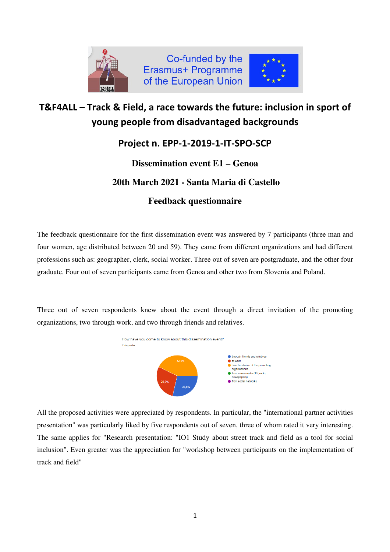

## T&F4ALL – Track & Field, a race towards the future: inclusion in sport of young people from disadvantaged backgrounds

### Project n. EPP-1-2019-1-IT-SPO-SCP

#### **Dissemination event E1 – Genoa**

# **20th March 2021 - Santa Maria di Castello**

#### **Feedback questionnaire**

The feedback questionnaire for the first dissemination event was answered by 7 participants (three man and four women, age distributed between 20 and 59). They came from different organizations and had different professions such as: geographer, clerk, social worker. Three out of seven are postgraduate, and the other four graduate. Four out of seven participants came from Genoa and other two from Slovenia and Poland.

Three out of seven respondents knew about the event through a direct invitation of the promoting organizations, two through work, and two through friends and relatives.



All the proposed activities were appreciated by respondents. In particular, the "international partner activities presentation" was particularly liked by five respondents out of seven, three of whom rated it very interesting. The same applies for "Research presentation: "IO1 Study about street track and field as a tool for social inclusion". Even greater was the appreciation for "workshop between participants on the implementation of track and field"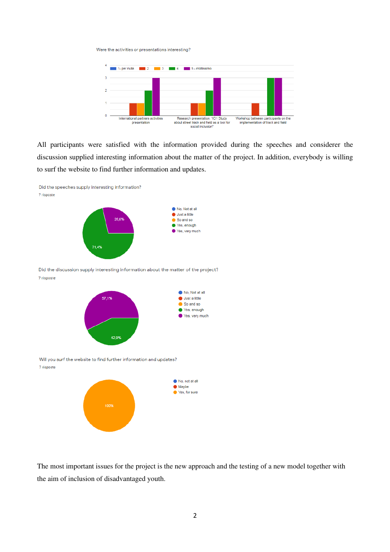Were the activities or presentations interesting?



All participants were satisfied with the information provided during the speeches and considerer the discussion supplied interesting information about the matter of the project. In addition, everybody is willing to surf the website to find further information and updates.



The most important issues for the project is the new approach and the testing of a new model together with the aim of inclusion of disadvantaged youth.